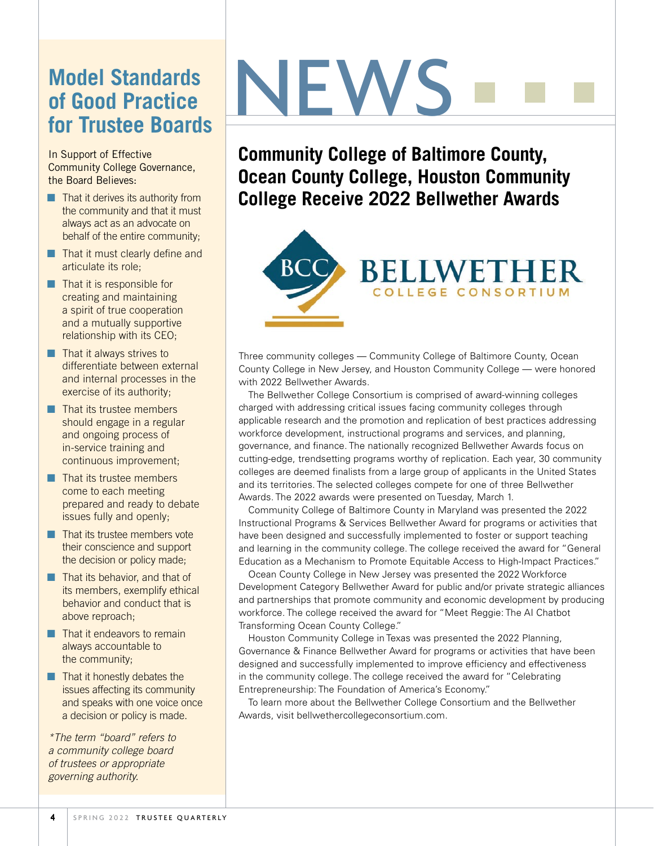#### **Model Standards of Good Practice for Trustee Boards**

In Support of Effective Community College Governance, the Board Believes:

- $\blacksquare$  That it derives its authority from the community and that it must always act as an advocate on behalf of the entire community;
- $\blacksquare$  That it must clearly define and articulate its role;
- $\blacksquare$  That it is responsible for creating and maintaining a spirit of true cooperation and a mutually supportive relationship with its CEO;
- $\blacksquare$  That it always strives to differentiate between external and internal processes in the exercise of its authority;
- $\Box$  That its trustee members should engage in a regular and ongoing process of in-service training and continuous improvement;
- $\blacksquare$  That its trustee members come to each meeting prepared and ready to debate issues fully and openly;
- $\blacksquare$  That its trustee members vote their conscience and support the decision or policy made;
- $\blacksquare$  That its behavior, and that of its members, exemplify ethical behavior and conduct that is above reproach;
- $\blacksquare$  That it endeavors to remain always accountable to the community;
- $\blacksquare$  That it honestly debates the issues affecting its community and speaks with one voice once a decision or policy is made.

*\*The term "board" refers to a community college board of trustees or appropriate governing authority.*

# NEWS

**Community College of Baltimore County, Ocean County College, Houston Community College Receive 2022 Bellwether Awards** 



Three community colleges — Community College of Baltimore County, Ocean County College in New Jersey, and Houston Community College — were honored with 2022 Bellwether Awards.

The Bellwether College Consortium is comprised of award-winning colleges charged with addressing critical issues facing community colleges through applicable research and the promotion and replication of best practices addressing workforce development, instructional programs and services, and planning, governance, and finance. The nationally recognized Bellwether Awards focus on cutting-edge, trendsetting programs worthy of replication. Each year, 30 community colleges are deemed finalists from a large group of applicants in the United States and its territories. The selected colleges compete for one of three Bellwether Awards. The 2022 awards were presented on Tuesday, March 1.

Community College of Baltimore County in Maryland was presented the 2022 Instructional Programs & Services Bellwether Award for programs or activities that have been designed and successfully implemented to foster or support teaching and learning in the community college. The college received the award for "General Education as a Mechanism to Promote Equitable Access to High-Impact Practices."

Ocean County College in New Jersey was presented the 2022 Workforce Development Category Bellwether Award for public and/or private strategic alliances and partnerships that promote community and economic development by producing workforce. The college received the award for "Meet Reggie: The AI Chatbot Transforming Ocean County College."

Houston Community College in Texas was presented the 2022 Planning, Governance & Finance Bellwether Award for programs or activities that have been designed and successfully implemented to improve efficiency and effectiveness in the community college. The college received the award for "Celebrating Entrepreneurship: The Foundation of America's Economy."

To learn more about the Bellwether College Consortium and the Bellwether Awards, visit bellwethercollegeconsortium.com.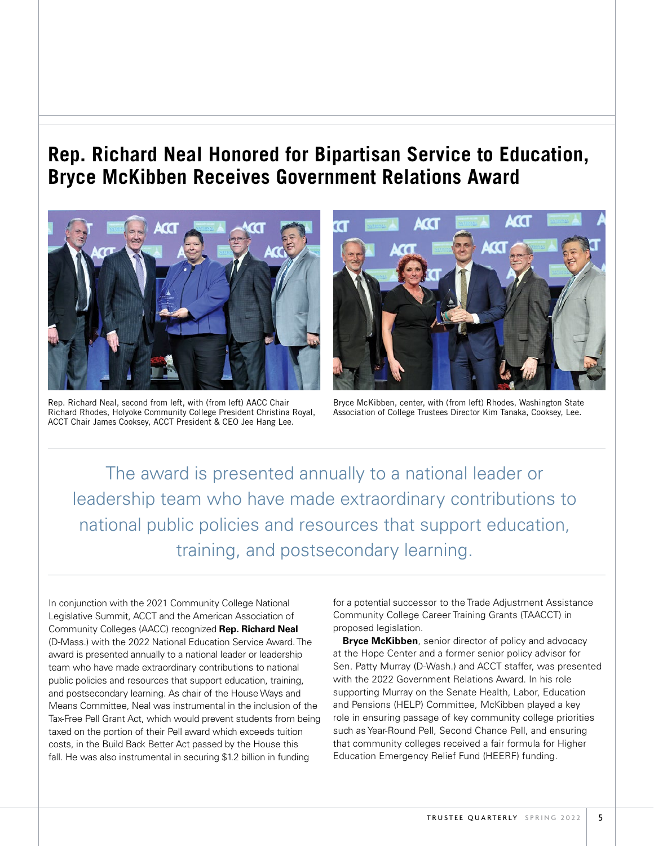#### **Rep. Richard Neal Honored for Bipartisan Service to Education, Bryce McKibben Receives Government Relations Award**



Rep. Richard Neal, second from left, with (from left) AACC Chair Richard Rhodes, Holyoke Community College President Christina Royal, ACCT Chair James Cooksey, ACCT President & CEO Jee Hang Lee.



Bryce McKibben, center, with (from left) Rhodes, Washington State Association of College Trustees Director Kim Tanaka, Cooksey, Lee.

The award is presented annually to a national leader or leadership team who have made extraordinary contributions to national public policies and resources that support education, training, and postsecondary learning.

In conjunction with the 2021 Community College National Legislative Summit, ACCT and the American Association of Community Colleges (AACC) recognized **Rep. Richard Neal**  (D-Mass.) with the 2022 National Education Service Award. The award is presented annually to a national leader or leadership team who have made extraordinary contributions to national public policies and resources that support education, training, and postsecondary learning. As chair of the House Ways and Means Committee, Neal was instrumental in the inclusion of the Tax-Free Pell Grant Act, which would prevent students from being taxed on the portion of their Pell award which exceeds tuition costs, in the Build Back Better Act passed by the House this fall. He was also instrumental in securing \$1.2 billion in funding

for a potential successor to the Trade Adjustment Assistance Community College Career Training Grants (TAACCT) in proposed legislation.

**Bryce McKibben**, senior director of policy and advocacy at the Hope Center and a former senior policy advisor for Sen. Patty Murray (D-Wash.) and ACCT staffer, was presented with the 2022 Government Relations Award. In his role supporting Murray on the Senate Health, Labor, Education and Pensions (HELP) Committee, McKibben played a key role in ensuring passage of key community college priorities such as Year-Round Pell, Second Chance Pell, and ensuring that community colleges received a fair formula for Higher Education Emergency Relief Fund (HEERF) funding.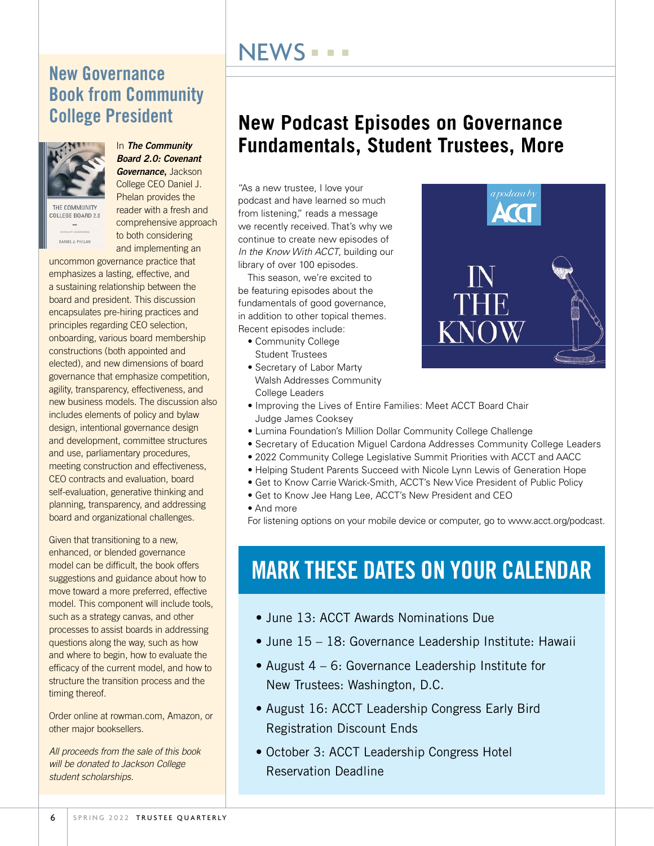#### **NEWS = = =**

#### New Governance Book from Community College President



DANIEL J. PHELAN

In *The Community Board 2.0: Covenant Governance*, Jackson

College CEO Daniel J. Phelan provides the THE COMMUNITY reader with a fresh and COLLEGE BOARD 2.0 comprehensive approach to both considering and implementing an

uncommon governance practice that emphasizes a lasting, effective, and a sustaining relationship between the board and president. This discussion encapsulates pre-hiring practices and principles regarding CEO selection, onboarding, various board membership constructions (both appointed and elected), and new dimensions of board governance that emphasize competition, agility, transparency, effectiveness, and new business models. The discussion also includes elements of policy and bylaw design, intentional governance design and development, committee structures and use, parliamentary procedures, meeting construction and effectiveness, CEO contracts and evaluation, board self-evaluation, generative thinking and planning, transparency, and addressing board and organizational challenges.

Given that transitioning to a new, enhanced, or blended governance model can be difficult, the book offers suggestions and guidance about how to move toward a more preferred, effective model. This component will include tools, such as a strategy canvas, and other processes to assist boards in addressing questions along the way, such as how and where to begin, how to evaluate the efficacy of the current model, and how to structure the transition process and the timing thereof.

Order online at rowman.com, Amazon, or other major booksellers.

*All proceeds from the sale of this book will be donated to Jackson College student scholarships.*

#### **New Podcast Episodes on Governance Fundamentals, Student Trustees, More**

"As a new trustee, I love your podcast and have learned so much from listening," reads a message we recently received. That's why we continue to create new episodes of *In the Know With ACCT*, building our library of over 100 episodes.

This season, we're excited to be featuring episodes about the fundamentals of good governance, in addition to other topical themes. Recent episodes include:

- Community College Student Trustees
- Secretary of Labor Marty Walsh Addresses Community College Leaders



- Improving the Lives of Entire Families: Meet ACCT Board Chair Judge James Cooksey
- Lumina Foundation's Million Dollar Community College Challenge
- Secretary of Education Miguel Cardona Addresses Community College Leaders
- 2022 Community College Legislative Summit Priorities with ACCT and AACC
- Helping Student Parents Succeed with Nicole Lynn Lewis of Generation Hope
- Get to Know Carrie Warick-Smith, ACCT's New Vice President of Public Policy
- Get to Know Jee Hang Lee, ACCT's New President and CEO
- And more

For listening options on your mobile device or computer, go to www.acct.org/podcast.

### MARK THESE DATES ON YOUR CALENDAR

- June 13: ACCT Awards Nominations Due
- June 15 18: Governance Leadership Institute: Hawaii
- August 4 6: Governance Leadership Institute for New Trustees: Washington, D.C.
- August 16: ACCT Leadership Congress Early Bird Registration Discount Ends
- October 3: ACCT Leadership Congress Hotel Reservation Deadline